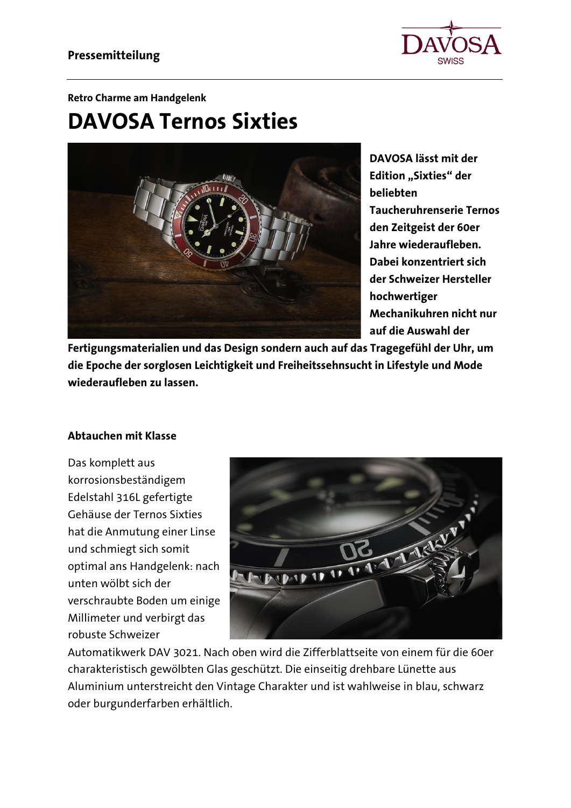

#### **Retro Charme am Handgelenk**

# **DAVOSA Ternos Sixties**



**DAVOSA lässt mit der Edition** "Sixties" der **beliebten Taucheruhrenserie Ternos den Zeitgeist der 60er Jahre wiederaufleben. Dabei konzentriert sich der Schweizer Hersteller hochwertiger Mechanikuhren nicht nur auf die Auswahl der** 

**Fertigungsmaterialien und das Design sondern auch auf das Tragegefühl der Uhr, um die Epoche der sorglosen Leichtigkeit und Freiheitssehnsucht in Lifestyle und Mode wiederaufleben zu lassen.**

## **Abtauchen mit Klasse**

Das komplett aus korrosionsbeständigem Edelstahl 316L gefertigte Gehäuse der Ternos Sixties hat die Anmutung einer Linse und schmiegt sich somit optimal ans Handgelenk: nach unten wölbt sich der verschraubte Boden um einige Millimeter und verbirgt das robuste Schweizer



Automatikwerk DAV 3021. Nach oben wird die Zifferblattseite von einem für die 60er charakteristisch gewölbten Glas geschützt. Die einseitig drehbare Lünette aus Aluminium unterstreicht den Vintage Charakter und ist wahlweise in blau, schwarz oder burgunderfarben erhältlich.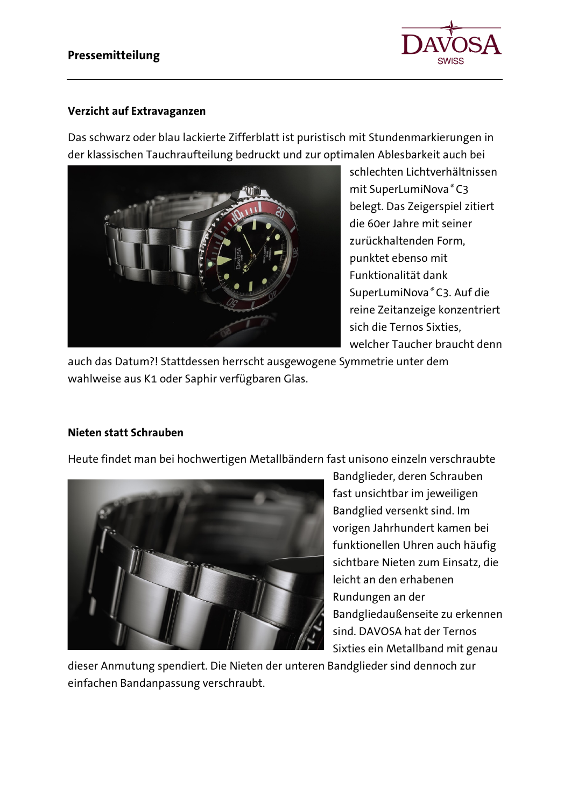

# **Verzicht auf Extravaganzen**

Das schwarz oder blau lackierte Zifferblatt ist puristisch mit Stundenmarkierungen in der klassischen Tauchraufteilung bedruckt und zur optimalen Ablesbarkeit auch bei



schlechten Lichtverhältnissen mit SuperLumiNova® C3 belegt. Das Zeigerspiel zitiert die 60er Jahre mit seiner zurückhaltenden Form, punktet ebenso mit Funktionalität dank SuperLumiNova® C3. Auf die reine Zeitanzeige konzentriert sich die Ternos Sixties, welcher Taucher braucht denn

auch das Datum?! Stattdessen herrscht ausgewogene Symmetrie unter dem wahlweise aus K1 oder Saphir verfügbaren Glas.

# **Nieten statt Schrauben**

Heute findet man bei hochwertigen Metallbändern fast unisono einzeln verschraubte



Bandglieder, deren Schrauben fast unsichtbar im jeweiligen Bandglied versenkt sind. Im vorigen Jahrhundert kamen bei funktionellen Uhren auch häufig sichtbare Nieten zum Einsatz, die leicht an den erhabenen Rundungen an der Bandgliedaußenseite zu erkennen sind. DAVOSA hat der Ternos Sixties ein Metallband mit genau

dieser Anmutung spendiert. Die Nieten der unteren Bandglieder sind dennoch zur einfachen Bandanpassung verschraubt.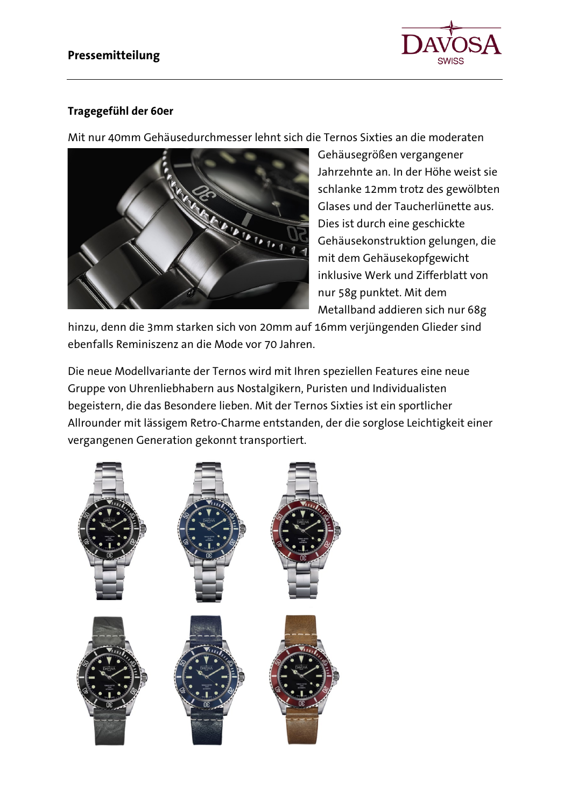

# **Tragegefühl der 60er**

Mit nur 40mm Gehäusedurchmesser lehnt sich die Ternos Sixties an die moderaten



Gehäusegrößen vergangener Jahrzehnte an. In der Höhe weist sie schlanke 12mm trotz des gewölbten Glases und der Taucherlünette aus. Dies ist durch eine geschickte Gehäusekonstruktion gelungen, die mit dem Gehäusekopfgewicht inklusive Werk und Zifferblatt von nur 58g punktet. Mit dem Metallband addieren sich nur 68g

hinzu, denn die 3mm starken sich von 20mm auf 16mm verjüngenden Glieder sind ebenfalls Reminiszenz an die Mode vor 70 Jahren.

Die neue Modellvariante der Ternos wird mit Ihren speziellen Features eine neue Gruppe von Uhrenliebhabern aus Nostalgikern, Puristen und Individualisten begeistern, die das Besondere lieben. Mit der Ternos Sixties ist ein sportlicher Allrounder mit lässigem Retro-Charme entstanden, der die sorglose Leichtigkeit einer vergangenen Generation gekonnt transportiert.

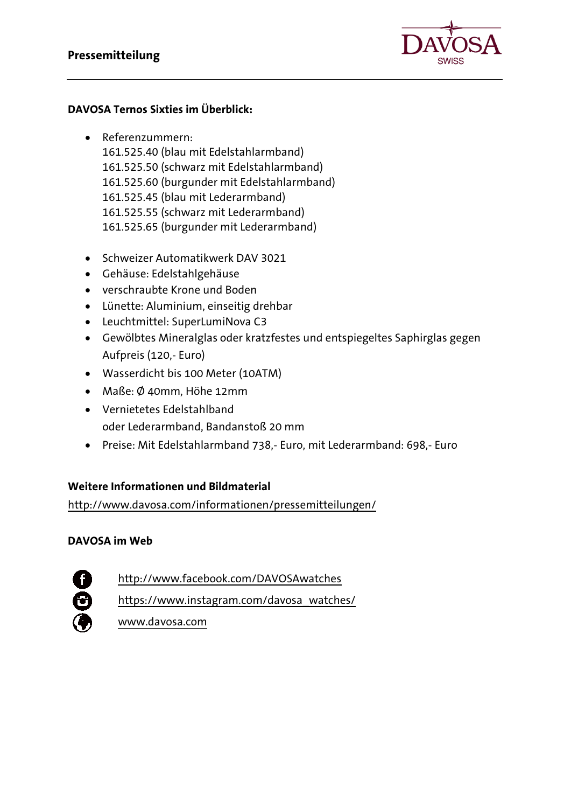

# **DAVOSA Ternos Sixties im Überblick:**

- Referenzummern: 161.525.40 (blau mit Edelstahlarmband) 161.525.50 (schwarz mit Edelstahlarmband) 161.525.60 (burgunder mit Edelstahlarmband) 161.525.45 (blau mit Lederarmband) 161.525.55 (schwarz mit Lederarmband) 161.525.65 (burgunder mit Lederarmband)
- Schweizer Automatikwerk DAV 3021
- Gehäuse: Edelstahlgehäuse
- verschraubte Krone und Boden
- Lünette: Aluminium, einseitig drehbar
- Leuchtmittel: SuperLumiNova C3
- Gewölbtes Mineralglas oder kratzfestes und entspiegeltes Saphirglas gegen Aufpreis (120,- Euro)
- Wasserdicht bis 100 Meter (10ATM)
- Maße: Ø 40mm, Höhe 12mm
- Vernietetes Edelstahlband oder Lederarmband, Bandanstoß 20 mm
- Preise: Mit Edelstahlarmband 738,- Euro, mit Lederarmband: 698,- Euro

# **Weitere Informationen und Bildmaterial**

<http://www.davosa.com/informationen/pressemitteilungen/>

# **DAVOSA im Web**

<http://www.facebook.com/DAVOSAwatches>

[https://www.instagram.com/davosa\\_watches/](https://www.instagram.com/davosa_watches/)

[www.davosa.com](http://www.davosa.com/)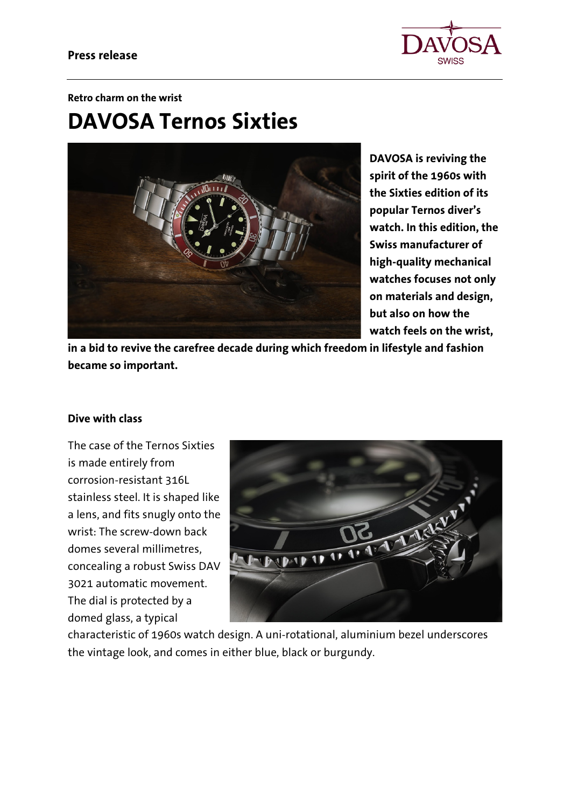

#### **Retro charm on the wrist**

# **DAVOSA Ternos Sixties**



**DAVOSA is reviving the spirit of the 1960s with the Sixties edition of its popular Ternos diver's watch. In this edition, the Swiss manufacturer of high-quality mechanical watches focuses not only on materials and design, but also on how the watch feels on the wrist,** 

**in a bid to revive the carefree decade during which freedom in lifestyle and fashion became so important.**

## **Dive with class**

The case of the Ternos Sixties is made entirely from corrosion-resistant 316L stainless steel. It is shaped like a lens, and fits snugly onto the wrist: The screw-down back domes several millimetres, concealing a robust Swiss DAV 3021 automatic movement. The dial is protected by a domed glass, a typical



characteristic of 1960s watch design. A uni-rotational, aluminium bezel underscores the vintage look, and comes in either blue, black or burgundy.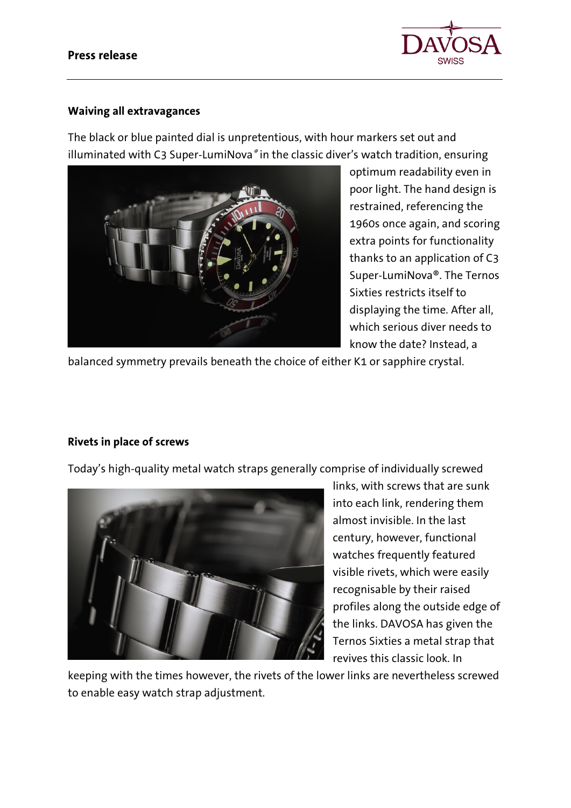

## **Waiving all extravagances**

The black or blue painted dial is unpretentious, with hour markers set out and illuminated with C3 Super-LumiNova® in the classic diver's watch tradition, ensuring



optimum readability even in poor light. The hand design is restrained, referencing the 1960s once again, and scoring extra points for functionality thanks to an application of C3 Super-LumiNova®. The Ternos Sixties restricts itself to displaying the time. After all, which serious diver needs to know the date? Instead, a

balanced symmetry prevails beneath the choice of either K1 or sapphire crystal.

# **Rivets in place of screws**

Today's high-quality metal watch straps generally comprise of individually screwed



links, with screws that are sunk into each link, rendering them almost invisible. In the last century, however, functional watches frequently featured visible rivets, which were easily recognisable by their raised profiles along the outside edge of the links. DAVOSA has given the Ternos Sixties a metal strap that revives this classic look. In

keeping with the times however, the rivets of the lower links are nevertheless screwed to enable easy watch strap adjustment.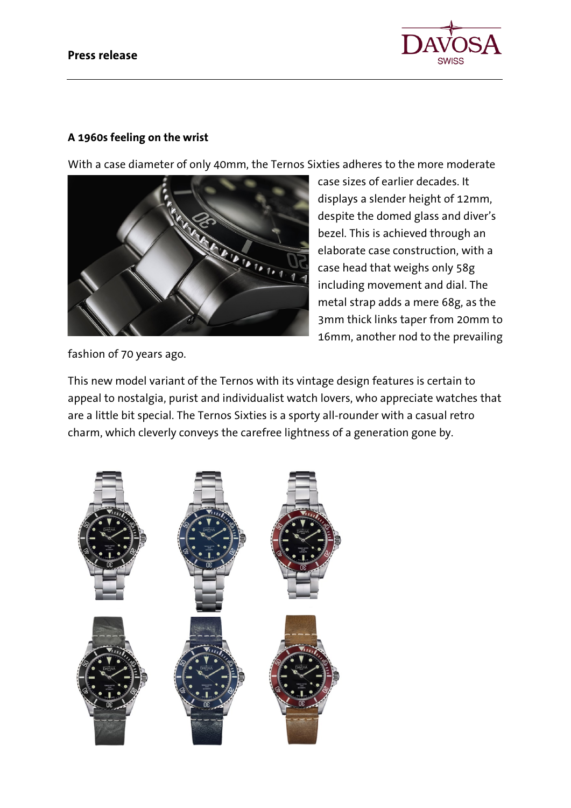

# **A 1960s feeling on the wrist**

With a case diameter of only 40mm, the Ternos Sixties adheres to the more moderate



case sizes of earlier decades. It displays a slender height of 12mm, despite the domed glass and diver's bezel. This is achieved through an elaborate case construction, with a case head that weighs only 58g including movement and dial. The metal strap adds a mere 68g, as the 3mm thick links taper from 20mm to 16mm, another nod to the prevailing

fashion of 70 years ago.

This new model variant of the Ternos with its vintage design features is certain to appeal to nostalgia, purist and individualist watch lovers, who appreciate watches that are a little bit special. The Ternos Sixties is a sporty all-rounder with a casual retro charm, which cleverly conveys the carefree lightness of a generation gone by.